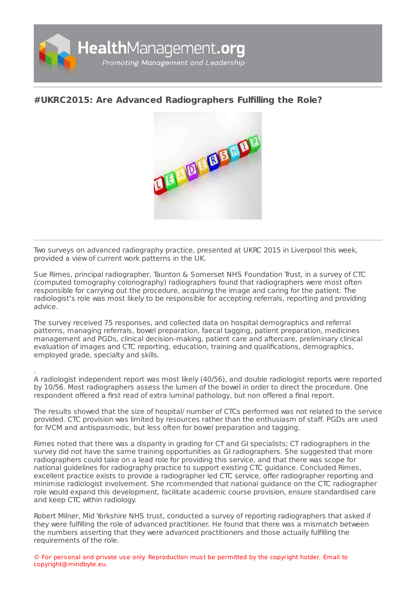

## **#UKRC2015: Are Advanced [Radiographers](https://healthmanagement.org/s/ukrc2015-are-advanced-radiographers-fulfilling-the-role) Fulfilling the Role?**



Two surveys on advanced radiography practice, presented at UKRC 2015 in Liverpool this week, provided a view of current work patterns in the UK.

Sue Rimes, principal radiographer, Taunton & Somerset NHS Foundation Trust, in a survey of CTC (computed tomography colonography) radiographers found that radiographers were most often responsible for carrying out the procedure, acquiring the image and caring for the patient. The radiologist's role was most likely to be responsible for accepting referrals, reporting and providing advice.

The survey received 75 responses, and collected data on hospital demographics and referral patterns, managing referrals, bowel preparation, faecal tagging, patient preparation, medicines management and PGDs, clinical decision-making, patient care and aftercare, preliminary clinical evaluation of images and CTC reporting, education, training and qualifications, demographics, employed grade, specialty and skills.

A radiologist independent report was most likely (40/56), and double radiologist reports were reported by 10/56. Most radiographers assess the lumen of the bowel in order to direct the procedure. One respondent offered a first read of extra luminal pathology, but non offered a final report.

The results showed that the size of hospital/ number of CTCs performed was not related to the service provided. CTC provision was limited by resources rather than the enthusiasm of staff. PGDs are used for IVCM and antispasmodic, but less often for bowel preparation and tagging.

Rimes noted that there was a disparity in grading for CT and GI specialists; CT radiographers in the survey did not have the same training opportunities as GI radiographers. She suggested that more radiographers could take on a lead role for providing this service, and that there was scope for national guidelines for radiography practice to support existing CTC guidance. Concluded Rimes, excellent practice exists to provide a radiographer led CTC service, offer radiographer reporting and minimise radiologist involvement. She rcommended that national guidance on the CTC radiographer role would expand this development, facilitate academic course provision, ensure standardised care and keep CTC within radiology.

Robert Milner, Mid Yorkshire NHS trust, conducted a survey of reporting radiographers that asked if they were fulfilling the role of advanced practitioner. He found that there was a mismatch between the numbers asserting that they were advanced practitioners and those actually fulfilling the requirements of the role.

© For personal and private use only. Reproduction must be permitted by the copyright holder. Email to copyright@mindbyte.eu.